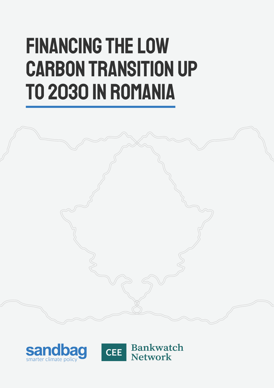# Financing the low carbon transition up to 2030 in Romania





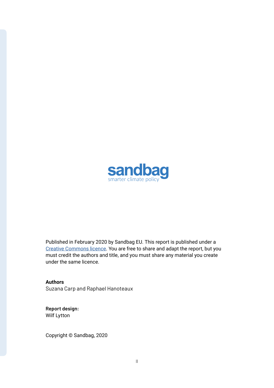

Published in February 2020 by Sandbag EU. This report is published under a [Creative Commons licence](https://creativecommons.org/licenses/by-sa/4.0/). You are free to share and adapt the report, but you must credit the authors and title, and you must share any material you create under the same licence.

**Authors** Suzana Carp and Raphael Hanoteaux

**Report design:** Wilf Lytton

Copyright © Sandbag, 2020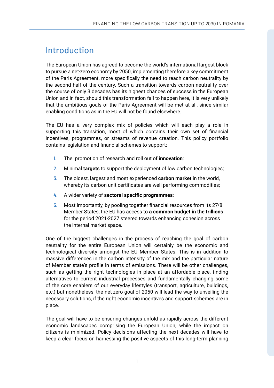# Introduction

The European Union has agreed to become the world's international largest block to pursue a net-zero economy by 2050, implementing therefore a key commitment of the Paris Agreement, more specifically the need to reach carbon neutrality by the second half of the century. Such a transition towards carbon neutrality over the course of only 3 decades has its highest chances of success in the European Union and in fact, should this transformation fail to happen here, it is very unlikely that the ambitious goals of the Paris Agreement will be met at all, since similar enabling conditions as in the EU will not be found elsewhere.

The EU has a very complex mix of policies which will each play a role in supporting this transition, most of which contains their own set of financial incentives, programmes, or streams of revenue creation. This policy portfolio contains legislation and financial schemes to support:

- **1.** The promotion of research and roll out of **innovation**;
- **2.** Minimal **targets** to support the deployment of low carbon technologies;
- **3.** The oldest, largest and most experienced **carbon market** in the world, whereby its carbon unit certificates are well performing commodities;
- **4.** A wider variety of **sectoral specific programmes**;
- **5.** Most importantly, by pooling together financial resources from its 27/8 Member States, the EU has access to **a common budget in the trillions** for the period 2021-2027 steered towards enhancing cohesion across the internal market space.

One of the biggest challenges in the process of reaching the goal of carbon neutrality for the entire European Union will certainly be the economic and technological diversity amongst the EU Member States. This is in addition to massive differences in the carbon intensity of the mix and the particular nature of Member state's profile in terms of emissions. There will be other challenges, such as getting the right technologies in place at an affordable place, finding alternatives to current industrial processes and fundamentally changing some of the core enablers of our everyday lifestyles (transport, agriculture, buildings, etc.) but nonetheless, the net-zero goal of 2050 will lead the way to unveiling the necessary solutions, if the right economic incentives and support schemes are in place.

The goal will have to be ensuring changes unfold as rapidly across the different economic landscapes comprising the European Union, while the impact on citizens is minimized. Policy decisions affecting the next decades will have to keep a clear focus on harnessing the positive aspects of this long-term planning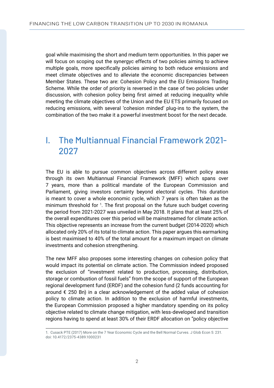goal while maximising the short and medium term opportunities. In this paper we will focus on scoping out the synergyc effects of two policies aiming to achieve multiple goals, more specifically policies aiming to both reduce emissions and meet climate objectives and to alleviate the economic discrepancies between Member States. These two are: Cohesion Policy and the EU Emissions Trading Scheme. While the order of priority is reversed in the case of two policies under discussion, with cohesion policy being first aimed at reducing inequality while meeting the climate objectives of the Union and the EU ETS primarily focused on reducing emissions, with several 'cohesion minded' plug-ins to the system, the combination of the two make it a powerful investment boost for the next decade.

# I. The Multiannual Financial Framework 2021- 2027

The EU is able to pursue common objectives across different policy areas through its own Multiannual Financial Framework (MFF) which spans over 7 years, more than a political mandate of the European Commission and Parliament, giving investors certainty beyond electoral cycles. This duration is meant to cover a whole economic cycle, which 7 years is often taken as the minimum threshold for <sup>1</sup>. The first proposal on the future such budget covering the period from 2021-2027 was unveiled in May 2018. It plans that at least 25% of the overall expenditures over this period will be mainstreamed for climate action. This objective represents an increase from the current budget (2014-2020) which allocated only 20% of its total to climate action. This paper argues this earmarking is best maximised to 40% of the total amount for a maximum impact on climate investments and cohesion strengthening.

The new MFF also proposes some interesting changes on cohesion policy that would impact its potential on climate action. The Commission indeed proposed the exclusion of "investment related to production, processing, distribution, storage or combustion of fossil fuels" from the scope of support of the European regional development fund (ERDF) and the cohesion fund (2 funds accounting for around  $\epsilon$  250 Bn) in a clear acknowledgement of the added value of cohesion policy to climate action. In addition to the exclusion of harmful investments, the European Commission proposed a higher mandatory spending on its policy objective related to climate change mitigation, with less-developed and transition regions having to spend at least 30% of their ERDF allocation on "policy objective

<sup>1.</sup> Cusack PTE (2017) More on the 7 Year Economic Cycle and the Bell Normal Curves. J Glob Econ 5: 231. doi: 10.4172/2375-4389.1000231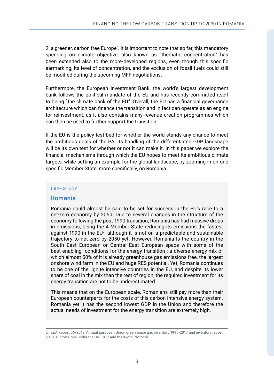2: a greener, carbon free Europe". It is important to note that so far, this mandatory spending on climate objective, also known as "thematic concentration" has been extended also to the more-developed regions, even though this specific earmarking, its level of concentration, and the exclusion of fossil fuels could still be modified during the upcoming MFF negotiations.

Furthermore, the European Investment Bank, the world's largest development bank follows the political mandate of the EU and has recently committed itself to being "the climate bank of the EU". Overall, the EU has a financial governance architecture which can finance the transition and in fact can operate as an engine for reinvestment, as it also contains many revenue creation programmes which can then be used to further support the transition.

If the EU is the policy test bed for whether the world stands any chance to meet the ambitious goals of the PA, its handling of the differentiated GDP landscape will be its own test for whether or not it can make it. In this paper we explore the financial mechanisms through which the EU hopes to meet its ambitious climate targets, while setting an example for the global landscape, by zooming in on one specific Member State, more specifically, on Romania.

### CASE STUDY

## **Romania**

Romania could almost be said to be set for success in the EU's race to a net-zero economy by 2050. Due to several changes in the structure of the economy following the post 1990 transition, Romania has had massive drops in emissions, being the 4 Member State reducing its emissions the fastest against 1990 in the EU<sup>2</sup>, although it is not on a predictable and sustainable trajectory to net zero by 2050 yet. However, Romania Is the country in the South East European or Central East European space with some of the best enabling conditions for the energy transition : a diverse energy mix of which almost 50% of it is already greenhouse gas emissions free, the largest onshore wind farm in the EU and huge RES potential. Yet, Romania continues to be one of the lignite intensive countries in the EU, and despite its lower share of coal in the mix than the rest of region, the required investment for its energy transition are not to be underestimated.

This means that on the European scale, Romanians still pay more than their European counterparts for the costs of this carbon intensive energy system. Romania yet it has the second lowest GDP in the Union and therefore the actual needs of investment for the energy transition are extremely high.

<sup>2.</sup> EEA Report 06/2019, Annual European Union greenhouse gas inventory 1990-2017 and inventory report

<sup>2019,</sup> submissions under the UNFCCC and the Kyoto Protocol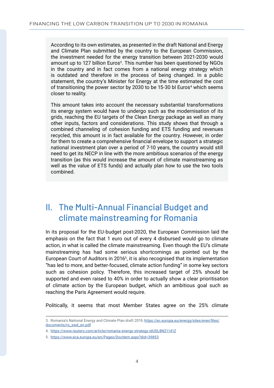According to its own estimates, as presented in the draft National and Energy and Climate Plan submitted by the country to the European Commission, the investment needed for the energy transition between 2021-2030 would amount up to 127 billion Euros<sup>3</sup>. This number has been questioned by NGOs in the country and in fact comes from a national energy strategy which is outdated and therefore in the process of being changed. In a public statement, the country's Minister for Energy at the time estimated the cost of transitioning the power sector by 2030 to be 15-30 bl Euros<sup>4</sup> which seems closer to reality.

This amount takes into account the necessary substantial transformations its energy system would have to undergo such as the modernisation of its grids, reaching the EU targets of the Clean Energy package as well as many other inputs, factors and considerations. This study shows that through a combined channeling of cohesion funding and ETS funding and revenues recycled, this amount is in fact available for the country. However, in order for them to create a comprehensive financial envelope to support a strategic national investment plan over a period of 7-10 years, the country would still need to get its NECP in line with the more ambitious scenarios of the energy transition (as this would increase the amount of climate mainstreaming as well as the value of ETS funds) and actually plan how to use the two tools combined.

# II. The Multi-Annual Financial Budget and climate mainstreaming for Romania

In its proposal for the EU-budget post-2020, the European Commission laid the emphasis on the fact that 1 euro out of every 4 disbursed would go to climate action, in what is called the climate mainstreaming. Even though the EU's climate mainstreaming has had some serious shortcomings as pointed out by the European Court of Auditors in 20165, it is also recognised that its implementation "has led to more, and better-focused, climate action funding" in some key sectors such as cohesion policy. Therefore, this increased target of 25% should be supported and even raised to 40% in order to actually show a clear prioritisation of climate action by the European budget, which an ambitious goal such as reaching the Paris Agreement would require.

Politically, it seems that most Member States agree on the 25% climate

<sup>3.</sup> Romania's National Energy and Climate Plan draft 2019, [https://ec.europa.eu/energy/sites/ener/files/](https://ec.europa.eu/energy/sites/ener/files/documents/ro_swd_en.pdf) [documents/ro\\_swd\\_en.pdf](https://ec.europa.eu/energy/sites/ener/files/documents/ro_swd_en.pdf)

<sup>4.</sup><https://www.reuters.com/article/romania-energy-strategy-idUSL8N21141Z>

<sup>5.</sup><https://www.eca.europa.eu/en/Pages/DocItem.aspx?did=39853>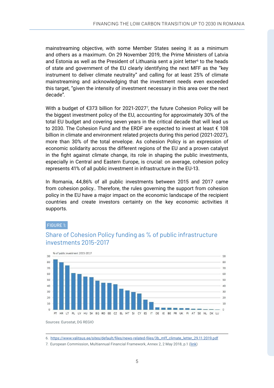mainstreaming objective, with some Member States seeing it as a minimum and others as a maximum. On 29 November 2019, the Prime Ministers of Latvia and Estonia as well as the President of Lithuania sent a joint letter<sup>6</sup> to the heads of state and government of the EU clearly identifying the next MFF as the "key instrument to deliver climate neutrality" and calling for at least 25% of climate mainstreaming and acknowledging that the investment needs even exceeded this target, "given the intensity of investment necessary in this area over the next decade".

With a budget of  $\epsilon$ 373 billion for 2021-2027<sup>7</sup>, the future Cohesion Policy will be the biggest investment policy of the EU, accounting for approximately 30% of the total EU budget and covering seven years in the critical decade that will lead us to 2030. The Cohesion Fund and the ERDF are expected to invest at least € 108 billion in climate and environment related projects during this period (2021-2027), more than 30% of the total envelope. As cohesion Policy is an expression of economic solidarity across the different regions of the EU and a proven catalyst in the fight against climate change, its role in shaping the public investments, especially in Central and Eastern Europe, is crucial: on average, cohesion policy represents 41% of all public investment in infrastructure in the EU-13.

In Romania, 44,86% of all public investments between 2015 and 2017 came from cohesion policy.. Therefore, the rules governing the support from cohesion policy in the EU have a major impact on the economic landscape of the recipient countries and create investors certainty on the key economic activities it supports.

#### FIGURE 1:

Sources: Eurostat, DG REGIO



## Share of Cohesion Policy funding as % of public infrastructure investments 2015-2017

7. European Commission, Multiannual Financial Framework, Annex 2, 2 May 2018, p.1 ([link\)](https://ec.europa.eu/commission/presscorner/detail/en/IP_18_3570)

<sup>6.</sup> [https://www.valitsus.ee/sites/default/files/news-related-files/3b\\_mff\\_climate\\_letter\\_29.11.2019.pdf](https://www.valitsus.ee/sites/default/files/news-related-files/3b_mff_climate_letter_29.11.2019.pdf)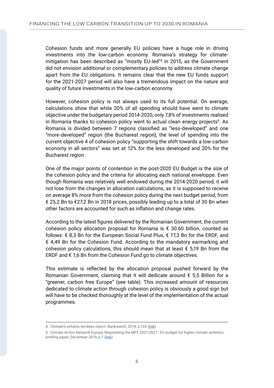Cohesion funds and more generally EU policies have a huge role in driving investments into the low-carbon economy. Romania's strategy for climatemitigation has been described as "mostly EU-led"<sup>8</sup> in 2015, as the Government did not envision additional or complementary policies to address climate change apart from the EU obligations. It remains clear that the new EU funds support for the 2021-2027 period will also have a tremendous impact on the nature and quality of future investments in the low-carbon economy.

However, cohesion policy is not always used to its full potential. On average, calculations show that while 20% of all spending should have went to climate objective under the budgetary period 2014-2020, only 7,8% of investments realised in Romania thanks to cohesion policy went to actual clean energy projects<sup>9</sup>. As Romania is divided between 7 regions classified as "less-developed" and one "more-developed" region (the Bucharest region), the level of spending into the current objective 4 of cohesion policy "supporting the shift towards a low-carbon economy in all sectors" was set at 12% for the less developed and 20% for the Bucharest region

One of the major points of contention in the post-2020 EU Budget is the size of the cohesion policy and the criteria for allocating each national enveloppe. Even though Romania was relatively well endowed during the 2014-2020 period, it will not lose from the changes in allocation calculations, as it is supposed to receive on average 8% more from the cohesion policy during the next budget period, from € 25,2 Bn to €27,2 Bn in 2018 prices, possibly leading up to a total of 30 Bn when other factors are accounted for such as inflation and change rates.

According to the latest figures delivered by the Romanian Government, the current cohesion policy allocation proposal for Romania is  $\epsilon$  30.60 billion, counted as follows: € 8,3 Bn for the European Social Fund Plus, € 17,3 Bn for the ERDF, and € 4,49 Bn for the Cohesion Fund. According to the mandatory earmarking and cohesion policy calculations, this should mean that at least  $\epsilon$  5,19 Bn from the ERDF and € 1,6 Bn from the Cohesion Fund go to climate objectives.

This estimate is reflected by the allocation proposal pushed forward by the Romanian Government, claiming that it will dedicate around € 5,5 Billion for a "greener, carbon free Europe" (see table). This increased amount of resources dedicated to climate action through cohesion policy is obviously a good sign but will have to be checked thoroughly at the level of the implementation of the actual programmes.

<sup>8.</sup> Climate's enfants terribles report- Bankwatch, 2014, p.126 ([link](https://bankwatch.org/sites/default/files/enfants-terribles.pdf))

<sup>9.</sup> Climate Action Network Europe, Negotiating the MFF 2021-2027 : EU budget for higher climate ambition,

briefing paper, December 2019, p.7 ([link](http://www.caneurope.org/docman/fossil-fuel-subsidies-1/3573-can-europe-recommendations-mff-cohesion-dec-19/file))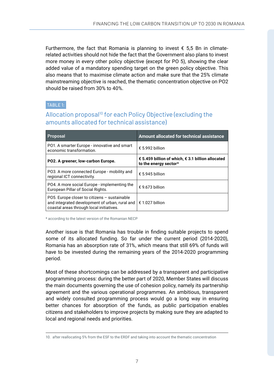Furthermore, the fact that Romania is planning to invest  $\epsilon$  5,5 Bn in climaterelated activities should not hide the fact that the Government also plans to invest more money in every other policy objective (except for PO 5), showing the clear added value of a mandatory spending target on the green policy objective. This also means that to maximise climate action and make sure that the 25% climate mainstreaming objective is reached, the thematic concentration objective on PO2 should be raised from 30% to 40%.

## TABLE 1:

## Allocation proposal<sup>10</sup> for each Policy Objective (excluding the amounts allocated for technical assistance)

| <b>Proposal</b>                                                                                                                            | <b>Amount allocated for technical assistance</b>                           |
|--------------------------------------------------------------------------------------------------------------------------------------------|----------------------------------------------------------------------------|
| PO1. A smarter Europe - innovative and smart<br>economic transformation.                                                                   | $\epsilon$ 5.992 billion                                                   |
| PO2. A greener, low-carbon Europe.                                                                                                         | € 5.459 billion of which, € 3.1 billion allocated<br>to the energy sector* |
| PO3. A more connected Europe - mobility and<br>regional ICT connectivity.                                                                  | $\epsilon$ 5.945 billion                                                   |
| PO4. A more social Europe - implementing the<br>European Pillar of Social Rights.                                                          | $\epsilon$ 9.673 billion                                                   |
| PO5. Europe closer to citizens - sustainable<br>and integrated development of urban, rural and<br>coastal areas through local initiatives. | € 1.027 billion                                                            |

\* according to the latest version of the Romanian NECP

Another issue is that Romania has trouble in finding suitable projects to spend some of its allocated funding. So far under the current period (2014-2020), Romania has an absorption rate of 31%, which means that still 69% of funds will have to be invested during the remaining years of the 2014-2020 programming period.

Most of these shortcomings can be addressed by a transparent and participative programming process: during the better part of 2020, Member States will discuss the main documents governing the use of cohesion policy, namely its partnership agreement and the various operational programmes. An ambitious, transparent and widely consulted programming process would go a long way in ensuring better chances for absorption of the funds, as public participation enables citizens and stakeholders to improve projects by making sure they are adapted to local and regional needs and priorities.

<sup>10.</sup> after reallocating 5% from the ESF to the ERDF and taking into account the thematic concentration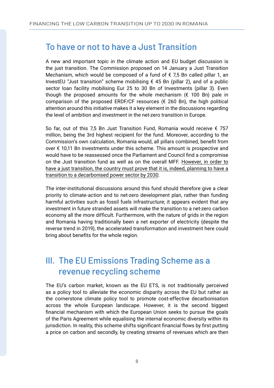## To have or not to have a Just Transition

A new and important topic in the climate action and EU budget discussion is the just transition. The Commission proposed on 14 January a Just Transition Mechanism, which would be composed of a fund of € 7,5 Bn called pillar 1, an InvestEU "Just transition" scheme mobilising  $\epsilon$  45 Bn (pillar 2), and of a public sector loan facility mobilising Eur 25 to 30 Bn of Investments (pillar 3). Even though the proposed amounts for the whole mechanism ( $\epsilon$  100 Bn) pale in comparison of the proposed ERDF/CF resources  $(\epsilon$  260 Bn), the high political attention around this initiative makes it a key element in the discussions regarding the level of ambition and investment in the net-zero transition in Europe.

So far, out of this 7,5 Bn Just Transition Fund, Romania would receive € 757 million, being the 3rd highest recipient for the fund. Moreover, according to the Commission's own calculation, Romania would, all pillars combined, benefit from over € 10,11 Bn investments under this scheme. This amount is prospective and would have to be reassessed once the Parliament and Council find a compromise on the Just transition fund as well as on the overall MFF. However, in order to have a just transition, the country must prove that it is, indeed, planning to have a transition to a decarbonised power sector by 2030.

The inter-institutional discussions around this fund should therefore give a clear priority to climate-action and to net-zero development plan, rather than funding harmful activities such as fossil fuels infrastructure; it appears evident that any investment in future stranded assets will make the transition to a net-zero carbon economy all the more difficult. Furthermore, with the nature of grids in the region and Romania having traditionally been a net exporter of electricity (despite the reverse trend in 2019), the accelerated transformation and investment here could bring about benefits for the whole region.

# III. The EU Emissions Trading Scheme as a revenue recycling scheme

The EU's carbon market, known as the EU ETS, is not traditionally perceived as a policy tool to alleviate the economic disparity across the EU but rather as the cornerstone climate policy tool to promote cost-effective decarbonisation across the whole European landscape. However, it is the second biggest financial mechanism with which the European Union seeks to pursue the goals of the Paris Agreement while equalising the internal economic diversity within its jurisdiction. In reality, this scheme shifts significant financial flows by first putting a price on carbon and secondly, by creating streams of revenues which are then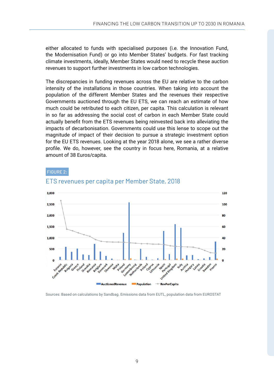either allocated to funds with specialised purposes (i.e. the Innovation Fund, the Modernisation Fund) or go into Member States' budgets. For fast tracking climate investments, ideally, Member States would need to recycle these auction revenues to support further investments in low carbon technologies.

The discrepancies in funding revenues across the EU are relative to the carbon intensity of the installations in those countries. When taking into account the population of the different Member States and the revenues their respective Governments auctioned through the EU ETS, we can reach an estimate of how much could be retributed to each citizen, per capita. This calculation is relevant in so far as addressing the social cost of carbon in each Member State could actually benefit from the ETS revenues being reinvested back into alleviating the impacts of decarbonisation. Governments could use this lense to scope out the magnitude of impact of their decision to pursue a strategic investment option for the EU ETS revenues. Looking at the year 2018 alone, we see a rather diverse profile. We do, however, see the country in focus here, Romania, at a relative amount of 38 Euros/capita.

#### FIGURE 2:



## ETS revenues per capita per Member State, 2018

Sources: Based on calculations by Sandbag. Emissions data from EUTL, population data from EUROSTAT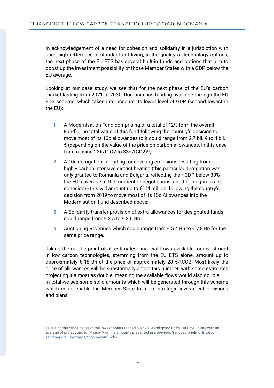In acknowledgement of a need for cohesion and solidarity in a jurisdiction with such high difference in standards of living, in the quality of technology options, the next phase of the EU ETS has several built-in funds and options that aim to boost up the investment possibility of those Member States with a GDP below the EU average.

Looking at our case study, we see that for the next phase of the EU's carbon market lasting from 2021 to 2030, Romania has funding available through the EU ETS scheme, which takes into account its lower level of GDP (second lowest in the EU):

- **1.** A Modernisation Fund comprising of a total of 12% form the overall Fund). The total value of this fund following the country's decision to move most of its 10c allowances to it could range from 2.7 bil. € to 4 bil.  $\epsilon$  (depending on the value of the price on carbon allowances, in this case from ransing 23€/tCO2 to 33€/tCO2)11;
- **2.** A 10c derogation, including for covering emissions resulting from highly carbon intensive district heating (this particular derogation was only granted to Romania and Bulgaria, reflecting their GDP below 30% the EU's average at the moment of negotiations, another plug-in to aid cohesion) - this will amount up to €114 million, following the country's decision from 2019 to move most of its 10c Allowances into the Modernisation Fund described above;
- **3.** A Solidarity transfer provision of extra allowances for designated funds: could range from  $\epsilon$  2.5 to  $\epsilon$  3.6 Bn.
- **4.** Auctioning Revenues which could range from € 5.4 Bn to € 7.8 Bn for the same price range.

Taking the middle point of all estimates, financial flows available for investment in low carbon technologies, stemming from the EU ETS alone, amount up to approximately  $\epsilon$  18 Bn at the price of approximately 28  $\epsilon$ /tCO2. Most likely the price of allowances will be substantially above this number, with some estimates projecting it almost as double, meaning the available flows would also double. In total we see some solid amounts which will be generated through this scheme which could enable the Member State to make strategic investment decisions and plans.

<sup>11.</sup> Using the range between the lowest point reached over 2019 and going up by 10Euros, in line with an average of projections for Phase IV on the amounts presented in a previous Sandbag briefing, [https://](https://sandbag.org.uk/project/chooseyourfunds/) [sandbag.org.uk/project/chooseyourfunds/](https://sandbag.org.uk/project/chooseyourfunds/)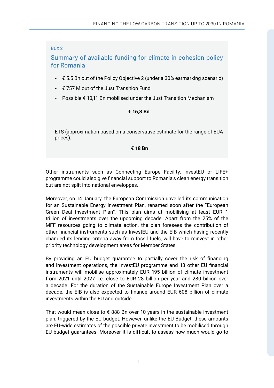## BOX 2

Summary of available funding for climate in cohesion policy for Romania:

- **-** € 5.5 Bn out of the Policy Objective 2 (under a 30% earmarking scenario)
- **-** € 757 M out of the Just Transition Fund
- **-** Possible € 10,11 Bn mobilised under the Just Transition Mechanism

## **€ 16,3 Bn**

ETS (approximation based on a conservative estimate for the range of EUA prices):

## **€ 18 Bn**

Other instruments such as Connecting Europe Facility, InvestEU or LIFE+ programme could also give financial support to Romania's clean energy transition but are not split into national enveloppes.

Moreover, on 14 January, the European Commission unveiled its communication for an Sustainable Energy investment Plan, renamed soon after the "European Green Deal Investment Plan". This plan aims at mobilising at least EUR 1 trillion of investments over the upcoming decade. Apart from the 25% of the MFF resources going to climate action, the plan foresees the contribution of other financial instruments such as InvestEU and the EIB which having recently changed its lending criteria away from fossil fuels, will have to reinvest in other priority technology development areas for Member States.

By providing an EU budget guarantee to partially cover the risk of financing and investment operations, the InvestEU programme and 13 other EU financial instruments will mobilise approximately EUR 195 billion of climate investment from 2021 until 2027, i.e. close to EUR 28 billion per year and 280 billion over a decade. For the duration of the Sustainable Europe Investment Plan over a decade, the EIB is also expected to finance around EUR 608 billion of climate investments within the EU and outside.

That would mean close to  $\epsilon$  888 Bn over 10 years in the sustainable investment plan, triggered by the EU budget. However, unlike the EU Budget, these amounts are EU-wide estimates of the possible private investment to be mobilised through EU budget guarantees. Moreover it is difficult to assess how much would go to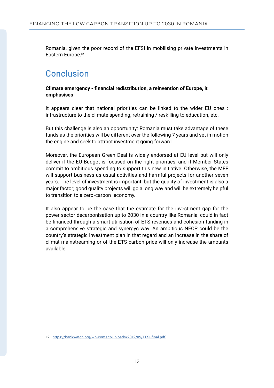Romania, given the poor record of the EFSI in mobilising private investments in Eastern Europe.<sup>12</sup>

## Conclusion

### **Climate emergency - financial redistribution, a reinvention of Europe, it emphasises**

It appears clear that national priorities can be linked to the wider EU ones : infrastructure to the climate spending, retraining / reskilling to education, etc.

But this challenge is also an opportunity: Romania must take advantage of these funds as the priorities will be different over the following 7 years and set in motion the engine and seek to attract investment going forward.

Moreover, the European Green Deal is widely endorsed at EU level but will only deliver if the EU Budget is focused on the right priorities, and if Member States commit to ambitious spending to support this new initiative. Otherwise, the MFF will support business as usual activities and harmful projects for another seven years. The level of investment is important, but the quality of investment is also a major factor; good quality projects will go a long way and will be extremely helpful to transition to a zero-carbon economy.

It also appear to be the case that the estimate for the investment gap for the power sector decarbonisation up to 2030 in a country like Romania, could in fact be financed through a smart utilisation of ETS revenues and cohesion funding in a comprehensive strategic and synergyc way. An ambitious NECP could be the country's strategic investment plan in that regard and an increase in the share of climat mainstreaming or of the ETS carbon price will only increase the amounts available.

<sup>12.</sup><https://bankwatch.org/wp-content/uploads/2019/09/EFSI-final.pdf>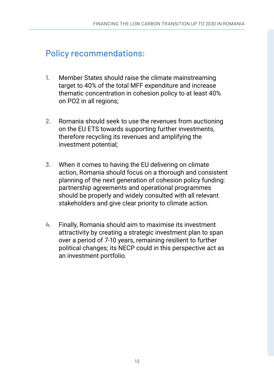# Policy recommendations:

- **1.** Member States should raise the climate mainstreaming target to 40% of the total MFF expenditure and increase thematic concentration in cohesion policy to at least 40% on PO2 in all regions;
- **2.** Romania should seek to use the revenues from auctioning on the EU ETS towards supporting further investments, therefore recycling its revenues and amplifying the investment potential;
- **3.** When it comes to having the EU delivering on climate action, Romania should focus on a thorough and consistent planning of the next generation of cohesion policy funding: partnership agreements and operational programmes should be properly and widely consulted with all relevant stakeholders and give clear priority to climate action.
- **4.** Finally, Romania should aim to maximise its investment attractivity by creating a strategic investment plan to span over a period of 7-10 years, remaining resilient to further political changes; its NECP could in this perspective act as an investment portfolio.